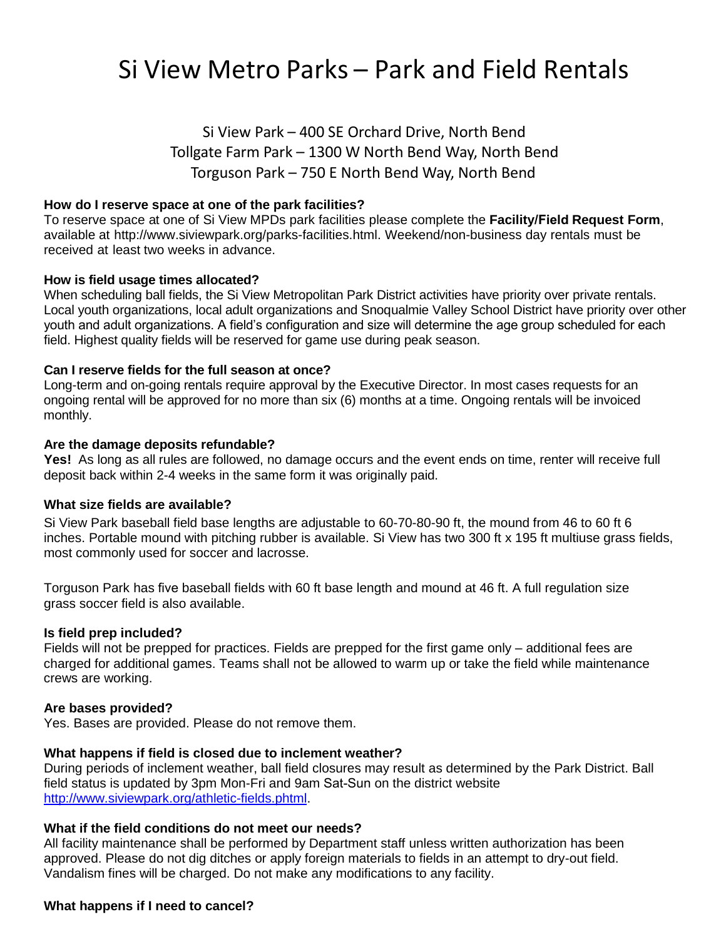# Si View Metro Parks – Park and Field Rentals

# Si View Park – 400 SE Orchard Drive, North Bend Tollgate Farm Park – 1300 W North Bend Way, North Bend Torguson Park – 750 E North Bend Way, North Bend

# **How do I reserve space at one of the park facilities?**

To reserve space at one of Si View MPDs park facilities please complete the **Facility/Field Request Form**, available at [http://www.siviewpark.org/parks-facil](http://www.siviewpark.org/parks-facilities.html)ities.html. Weekend/non-business day rentals must be received at least two weeks in advance.

#### **How is field usage times allocated?**

When scheduling ball fields, the Si View Metropolitan Park District activities have priority over private rentals. Local youth organizations, local adult organizations and Snoqualmie Valley School District have priority over other youth and adult organizations. A field's configuration and size will determine the age group scheduled for each field. Highest quality fields will be reserved for game use during peak season.

#### **Can I reserve fields for the full season at once?**

Long-term and on-going rentals require approval by the Executive Director. In most cases requests for an ongoing rental will be approved for no more than six (6) months at a time. Ongoing rentals will be invoiced monthly.

# **Are the damage deposits refundable?**

**Yes!** As long as all rules are followed, no damage occurs and the event ends on time, renter will receive full deposit back within 2-4 weeks in the same form it was originally paid.

#### **What size fields are available?**

Si View Park baseball field base lengths are adjustable to 60-70-80-90 ft, the mound from 46 to 60 ft 6 inches. Portable mound with pitching rubber is available. Si View has two 300 ft x 195 ft multiuse grass fields, most commonly used for soccer and lacrosse.

Torguson Park has five baseball fields with 60 ft base length and mound at 46 ft. A full regulation size grass soccer field is also available.

#### **Is field prep included?**

Fields will not be prepped for practices. Fields are prepped for the first game only – additional fees are charged for additional games. Teams shall not be allowed to warm up or take the field while maintenance crews are working.

#### **Are bases provided?**

Yes. Bases are provided. Please do not remove them.

#### **What happens if field is closed due to inclement weather?**

During periods of inclement weather, ball field closures may result as determined by the Park District. Ball field status is updated by 3pm Mon-Fri and 9am Sat-Sun on the district website [http://www.siviewpark.org/athletic-fields.phtml.](http://www.siviewpark.org/athletic-fields.phtml)

#### **What if the field conditions do not meet our needs?**

All facility maintenance shall be performed by Department staff unless written authorization has been approved. Please do not dig ditches or apply foreign materials to fields in an attempt to dry-out field. Vandalism fines will be charged. Do not make any modifications to any facility.

#### **What happens if I need to cancel?**